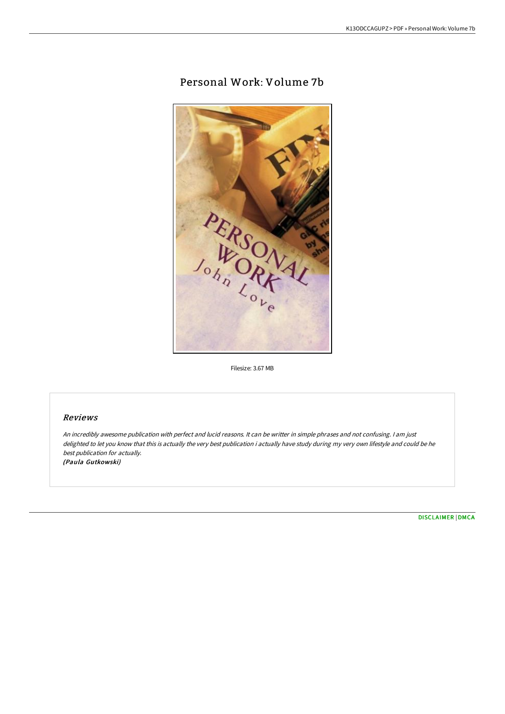# Personal Work: Volume 7b



Filesize: 3.67 MB

## Reviews

An incredibly awesome publication with perfect and lucid reasons. It can be writter in simple phrases and not confusing. <sup>I</sup> am just delighted to let you know that this is actually the very best publication i actually have study during my very own lifestyle and could be he best publication for actually. (Paula Gutkowski)

[DISCLAIMER](http://www.bookdirs.com/disclaimer.html) | [DMCA](http://www.bookdirs.com/dmca.html)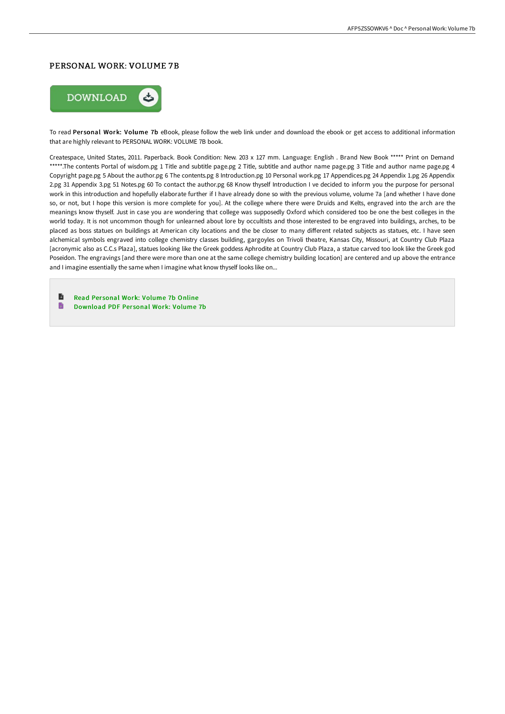#### PERSONAL WORK: VOLUME 7B



To read Personal Work: Volume 7b eBook, please follow the web link under and download the ebook or get access to additional information that are highly relevant to PERSONAL WORK: VOLUME 7B book.

Createspace, United States, 2011. Paperback. Book Condition: New. 203 x 127 mm. Language: English . Brand New Book \*\*\*\*\* Print on Demand \*\*\*\*\*.The contents Portal of wisdom.pg 1 Title and subtitle page.pg 2 Title, subtitle and author name page.pg 3 Title and author name page.pg 4 Copyright page.pg 5 About the author.pg 6 The contents.pg 8 Introduction.pg 10 Personal work.pg 17 Appendices.pg 24 Appendix 1.pg 26 Appendix 2.pg 31 Appendix 3.pg 51 Notes.pg 60 To contact the author.pg 68 Know thyself Introduction I ve decided to inform you the purpose for personal work in this introduction and hopefully elaborate further if I have already done so with the previous volume, volume 7a [and whether I have done so, or not, but I hope this version is more complete for you]. At the college where there were Druids and Kelts, engraved into the arch are the meanings know thyself. Just in case you are wondering that college was supposedly Oxford which considered too be one the best colleges in the world today. It is not uncommon though for unlearned about lore by occultists and those interested to be engraved into buildings, arches, to be placed as boss statues on buildings at American city locations and the be closer to many diFerent related subjects as statues, etc. I have seen alchemical symbols engraved into college chemistry classes building, gargoyles on Trivoli theatre, Kansas City, Missouri, at Country Club Plaza [acronymic also as C.C.s Plaza], statues looking like the Greek goddess Aphrodite at Country Club Plaza, a statue carved too look like the Greek god Poseidon. The engravings [and there were more than one at the same college chemistry building location] are centered and up above the entrance and I imagine essentially the same when I imagine what know thyself looks like on...

B Read Per sonal Work: [Volume](http://www.bookdirs.com/personal-work-volume-7b-paperback.html) 7b Online  $\blacksquare$ [Download](http://www.bookdirs.com/personal-work-volume-7b-paperback.html) PDF Per sonal Work: Volume 7b